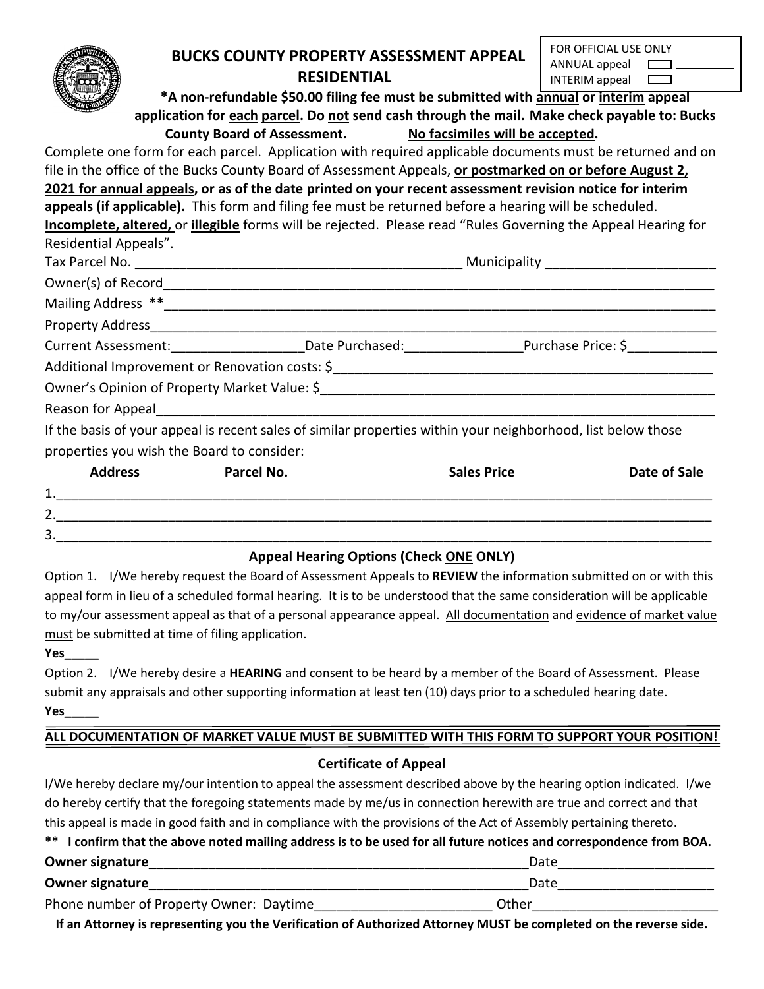|                                                                                                        | <b>BUCKS COUNTY PROPERTY ASSESSMENT APPEAL</b>                                                                                                                                                                                 | FOR OFFICIAL USE ONLY<br>ANNUAL appeal |  |  |  |
|--------------------------------------------------------------------------------------------------------|--------------------------------------------------------------------------------------------------------------------------------------------------------------------------------------------------------------------------------|----------------------------------------|--|--|--|
|                                                                                                        | <b>RESIDENTIAL</b>                                                                                                                                                                                                             | INTERIM appeal                         |  |  |  |
|                                                                                                        | *A non-refundable \$50.00 filing fee must be submitted with annual or interim appeal                                                                                                                                           |                                        |  |  |  |
|                                                                                                        | application for each parcel. Do not send cash through the mail. Make check payable to: Bucks                                                                                                                                   |                                        |  |  |  |
|                                                                                                        | County Board of Assessment. No facsimiles will be accepted.                                                                                                                                                                    |                                        |  |  |  |
|                                                                                                        | Complete one form for each parcel. Application with required applicable documents must be returned and on                                                                                                                      |                                        |  |  |  |
|                                                                                                        | file in the office of the Bucks County Board of Assessment Appeals, or postmarked on or before August 2,                                                                                                                       |                                        |  |  |  |
|                                                                                                        | 2021 for annual appeals, or as of the date printed on your recent assessment revision notice for interim                                                                                                                       |                                        |  |  |  |
| appeals (if applicable). This form and filing fee must be returned before a hearing will be scheduled. |                                                                                                                                                                                                                                |                                        |  |  |  |
|                                                                                                        | Incomplete, altered, or illegible forms will be rejected. Please read "Rules Governing the Appeal Hearing for                                                                                                                  |                                        |  |  |  |
| Residential Appeals".                                                                                  |                                                                                                                                                                                                                                |                                        |  |  |  |
|                                                                                                        |                                                                                                                                                                                                                                |                                        |  |  |  |
|                                                                                                        |                                                                                                                                                                                                                                |                                        |  |  |  |
|                                                                                                        |                                                                                                                                                                                                                                |                                        |  |  |  |
|                                                                                                        |                                                                                                                                                                                                                                |                                        |  |  |  |
|                                                                                                        | Current Assessment: _________________________Date Purchased: ___________________Purchase Price: \$                                                                                                                             |                                        |  |  |  |
|                                                                                                        |                                                                                                                                                                                                                                |                                        |  |  |  |
|                                                                                                        |                                                                                                                                                                                                                                |                                        |  |  |  |
|                                                                                                        | Reason for Appeal and the state of the state of the state of the state of the state of the state of the state of the state of the state of the state of the state of the state of the state of the state of the state of the s |                                        |  |  |  |
|                                                                                                        | If the basis of your appeal is recent sales of similar properties within your neighborhood, list below those                                                                                                                   |                                        |  |  |  |
|                                                                                                        | properties you wish the Board to consider:                                                                                                                                                                                     |                                        |  |  |  |

|         | <b>Address</b> | Parcel No. | <b>Sales Price</b> | Date of Sale |
|---------|----------------|------------|--------------------|--------------|
| 1.      |                |            |                    |              |
| ົ<br>z. |                |            |                    |              |
| 3.      |                |            |                    |              |

# **Appeal Hearing Options (Check ONE ONLY)**

Option 1. I/We hereby request the Board of Assessment Appeals to **REVIEW** the information submitted on or with this appeal form in lieu of a scheduled formal hearing. It is to be understood that the same consideration will be applicable to my/our assessment appeal as that of a personal appearance appeal. All documentation and evidence of market value must be submitted at time of filing application.

**Yes\_\_\_\_\_**

Option 2. I/We hereby desire a **HEARING** and consent to be heard by a member of the Board of Assessment. Please submit any appraisals and other supporting information at least ten (10) days prior to a scheduled hearing date. **Yes\_\_\_\_\_**

# **ALL DOCUMENTATION OF MARKET VALUE MUST BE SUBMITTED WITH THIS FORM TO SUPPORT YOUR POSITION!**

### **Certificate of Appeal**

I/We hereby declare my/our intention to appeal the assessment described above by the hearing option indicated. I/we do hereby certify that the foregoing statements made by me/us in connection herewith are true and correct and that this appeal is made in good faith and in compliance with the provisions of the Act of Assembly pertaining thereto.

|  |  |  |  | ** I confirm that the above noted mailing address is to be used for all future notices and correspondence from BOA. |  |
|--|--|--|--|---------------------------------------------------------------------------------------------------------------------|--|
|--|--|--|--|---------------------------------------------------------------------------------------------------------------------|--|

| <b>Owner signature</b>                  | Date  |  |
|-----------------------------------------|-------|--|
| <b>Owner signature</b>                  | Date  |  |
| Phone number of Property Owner: Daytime | Other |  |

**If an Attorney is representing you the Verification of Authorized Attorney MUST be completed on the reverse side.**